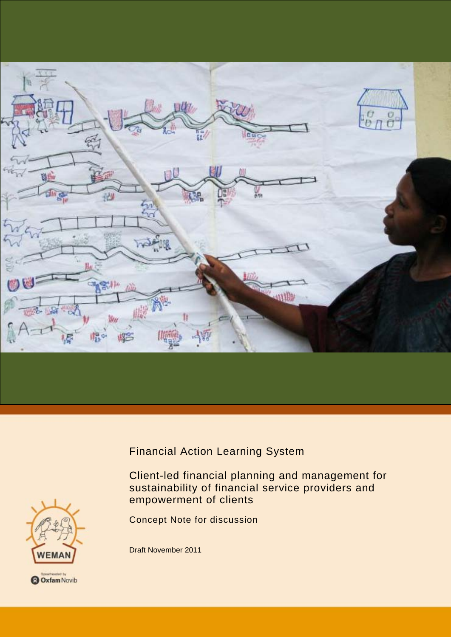

Financial Action Learning System

Client-led financial planning and management for sustainability of financial service providers and empowerment of clients

Concept Note for discussion

Draft November 2011

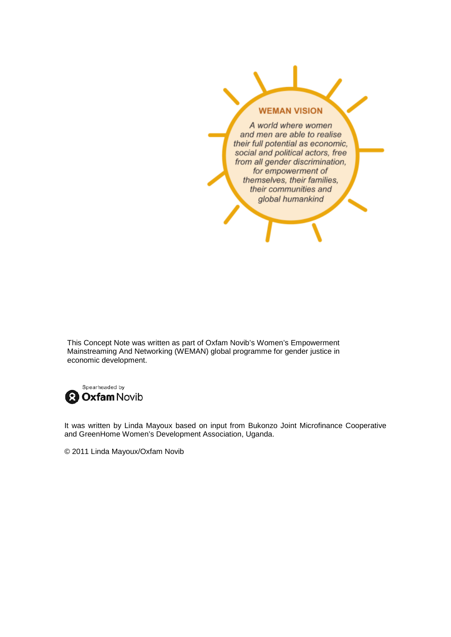# **WEMAN VISION**

A world where women and men are able to realise their full potential as economic, social and political actors, free from all gender discrimination, for empowerment of themselves, their families, their communities and global humankind

This Concept Note was written as part of Oxfam Novib's Women's Empowerment Mainstreaming And Networking (WEMAN) global programme for gender justice in economic development.



It was written by Linda Mayoux based on input from Bukonzo Joint Microfinance Cooperative and GreenHome Women's Development Association, Uganda.

© 2011 Linda Mayoux/Oxfam Novib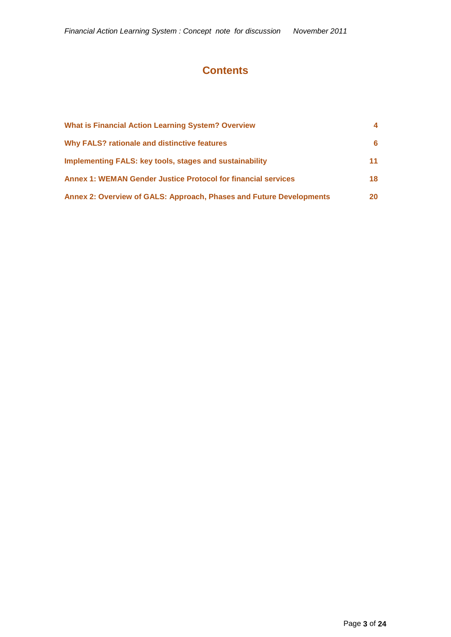# **Contents**

| <b>What is Financial Action Learning System? Overview</b>            |     |
|----------------------------------------------------------------------|-----|
| <b>Why FALS? rationale and distinctive features</b>                  | 6.  |
| Implementing FALS: key tools, stages and sustainability              | 11. |
| <b>Annex 1: WEMAN Gender Justice Protocol for financial services</b> | 18  |
| Annex 2: Overview of GALS: Approach, Phases and Future Developments  | 20  |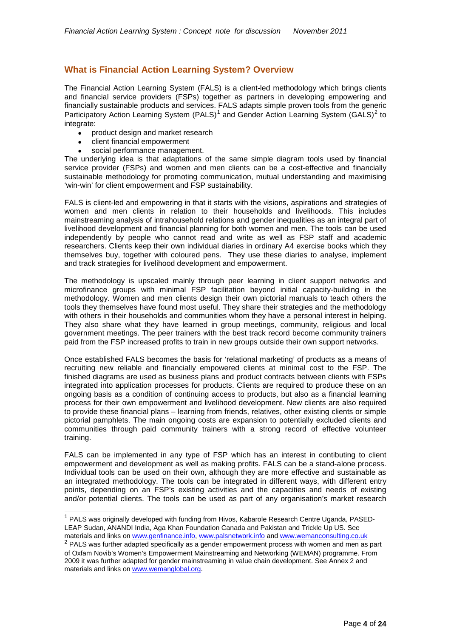# <span id="page-3-0"></span>**What is Financial Action Learning System? Overview**

The Financial Action Learning System (FALS) is a client-led methodology which brings clients and financial service providers (FSPs) together as partners in developing empowering and financially sustainable products and services. FALS adapts simple proven tools from the generic Participatory Action Learning System (PALS)<sup>[1](#page-3-1)</sup> and Gender Action Learning System (GALS)<sup>[2](#page-3-2)</sup> to integrate:

- product design and market research
- client financial empowerment
- social performance management.

The underlying idea is that adaptations of the same simple diagram tools used by financial service provider (FSPs) and women and men clients can be a cost-effective and financially sustainable methodology for promoting communication, mutual understanding and maximising 'win-win' for client empowerment and FSP sustainability.

FALS is client-led and empowering in that it starts with the visions, aspirations and strategies of women and men clients in relation to their households and livelihoods. This includes mainstreaming analysis of intrahousehold relations and gender inequalities as an integral part of livelihood development and financial planning for both women and men. The tools can be used independently by people who cannot read and write as well as FSP staff and academic researchers. Clients keep their own individual diaries in ordinary A4 exercise books which they themselves buy, together with coloured pens. They use these diaries to analyse, implement and track strategies for livelihood development and empowerment.

The methodology is upscaled mainly through peer learning in client support networks and microfinance groups with minimal FSP facilitation beyond initial capacity-building in the methodology. Women and men clients design their own pictorial manuals to teach others the tools they themselves have found most useful. They share their strategies and the methodology with others in their households and communities whom they have a personal interest in helping. They also share what they have learned in group meetings, community, religious and local government meetings. The peer trainers with the best track record become community trainers paid from the FSP increased profits to train in new groups outside their own support networks.

Once established FALS becomes the basis for 'relational marketing' of products as a means of recruiting new reliable and financially empowered clients at minimal cost to the FSP. The finished diagrams are used as business plans and product contracts between clients with FSPs integrated into application processes for products. Clients are required to produce these on an ongoing basis as a condition of continuing access to products, but also as a financial learning process for their own empowerment and livelihood development. New clients are also required to provide these financial plans – learning from friends, relatives, other existing clients or simple pictorial pamphlets. The main ongoing costs are expansion to potentially excluded clients and communities through paid community trainers with a strong record of effective volunteer training.

FALS can be implemented in any type of FSP which has an interest in contibuting to client empowerment and development as well as making profits. FALS can be a stand-alone process. Individual tools can be used on their own, although they are more effective and sustainable as an integrated methodology. The tools can be integrated in different ways, with different entry points, depending on an FSP's existing activities and the capacities and needs of existing and/or potential clients. The tools can be used as part of any organisation's market research

<span id="page-3-1"></span><sup>&</sup>lt;sup>1</sup> PALS was originally developed with funding from Hivos, Kabarole Research Centre Uganda, PASED-LEAP Sudan, ANANDI India, Aga Khan Foundation Canada and Pakistan and Trickle Up US. See materials and links o[n www.genfinance.info,](http://www.genfinance.info/) [www.palsnetwork.info](http://www.palsnetwork.info/) an[d www.wemanconsulting.co.uk](http://www.wemanconsulting.co.uk/)

<span id="page-3-2"></span><sup>&</sup>lt;sup>2</sup> PALS was further adapted specifically as a gender empowerment process with women and men as part of Oxfam Novib's Women's Empowerment Mainstreaming and Networking (WEMAN) programme. From 2009 it was further adapted for gender mainstreaming in value chain development. See Annex 2 and materials and links o[n www.wemanglobal.org.](http://www.wemanglobal.org/)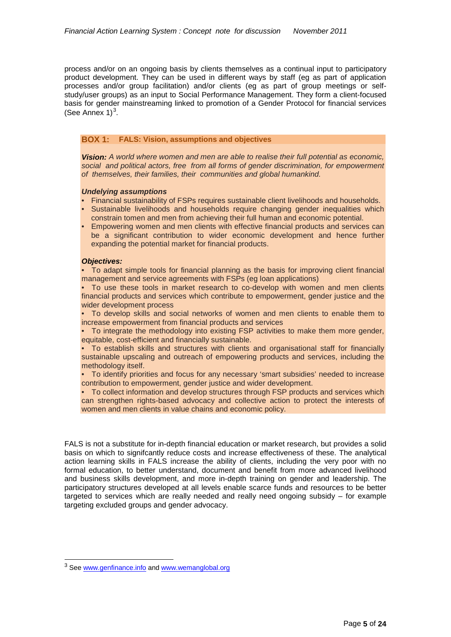process and/or on an ongoing basis by clients themselves as a continual input to participatory product development. They can be used in different ways by staff (eg as part of application processes and/or group facilitation) and/or clients (eg as part of group meetings or selfstudy/user groups) as an input to Social Performance Management. They form a client-focused basis for gender mainstreaming linked to promotion of a Gender Protocol for financial services (See Annex  $1)^3$  $1)^3$ .

# **BOX 1: FALS: Vision, assumptions and objectives**

*Vision: A world where women and men are able to realise their full potential as economic, social and political actors, free from all forms of gender discrimination, for empowerment of themselves, their families, their communities and global humankind.*

# *Undelying assumptions*

- Financial sustainability of FSPs requires sustainable client livelihoods and households.
- Sustainable livelihoods and households require changing gender inequalities which constrain tomen and men from achieving their full human and economic potential.
- Empowering women and men clients with effective financial products and services can be a significant contribution to wider economic development and hence further expanding the potential market for financial products.

# *Objectives:*

• To adapt simple tools for financial planning as the basis for improving client financial management and service agreements with FSPs (eg loan applications)

• To use these tools in market research to co-develop with women and men clients financial products and services which contribute to empowerment, gender justice and the wider development process

• To develop skills and social networks of women and men clients to enable them to increase empowerment from financial products and services

• To integrate the methodology into existing FSP activities to make them more gender, equitable, cost-efficient and financially sustainable.

• To establish skills and structures with clients and organisational staff for financially sustainable upscaling and outreach of empowering products and services, including the methodology itself.

• To identify priorities and focus for any necessary 'smart subsidies' needed to increase contribution to empowerment, gender justice and wider development.

• To collect information and develop structures through FSP products and services which can strengthen rights-based advocacy and collective action to protect the interests of women and men clients in value chains and economic policy.

FALS is not a substitute for in-depth financial education or market research, but provides a solid basis on which to signifcantly reduce costs and increase effectiveness of these. The analytical action learning skills in FALS increase the ability of clients, including the very poor with no formal education, to better understand, document and benefit from more advanced livelihood and business skills development, and more in-depth training on gender and leadership. The participatory structures developed at all levels enable scarce funds and resources to be better targeted to services which are really needed and really need ongoing subsidy – for example targeting excluded groups and gender advocacy.

<span id="page-4-0"></span><sup>&</sup>lt;sup>3</sup> See [www.genfinance.info](http://www.genfinance.info/) and [www.wemanglobal.org](http://www.wemanglobal.org/)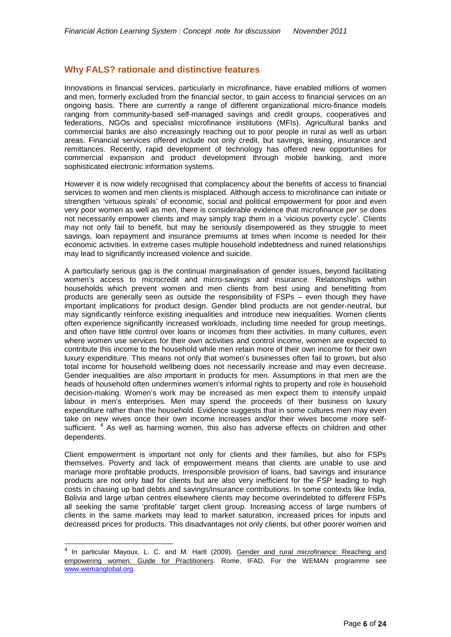# <span id="page-5-0"></span>**Why FALS? rationale and distinctive features**

Innovations in financial services, particularly in microfinance, have enabled millions of women and men, formerly excluded from the financial sector, to gain access to financial services on an ongoing basis. There are currently a range of different organizational micro-finance models ranging from community-based self-managed savings and credit groups, cooperatives and federations, NGOs and specialist microfinance institutions (MFIs). Agricultural banks and commercial banks are also increasingly reaching out to poor people in rural as well as urban areas. Financial services offered include not only credit, but savings, leasing, insurance and remittances. Recently, rapid development of technology has offered new opportunities for commercial expansion and product development through mobile banking, and more sophisticated electronic information systems.

However it is now widely recognised that complacency about the benefits of access to financial services to women and men clients is misplaced. Although access to microfinance can initiate or strengthen 'virtuous spirals' of economic, social and political empowerment for poor and even very poor women as well as men, there is considerable evidence that microfinance *per se* does not necessarily empower clients and may simply trap them in a 'vicious poverty cycle'. Clients may not only fail to benefit, but may be seriously disempowered as they struggle to meet savings, loan repayment and insurance premiums at times when income is needed for their economic activities. In extreme cases multiple household indebtedness and ruined relationships may lead to significantly increased violence and suicide.

A particularly serious gap is the continual marginalisation of gender issues, beyond facilitating women's access to microcredit and micro-savings and insurance. Relationships within households which prevent women and men clients from best using and benefitting from products are generally seen as outside the responsibility of FSPs – even though they have important implications for product design. Gender blind products are not gender-neutral, but may significantly reinforce existing inequalities and introduce new inequalities. Women clients often experience significantly increased workloads, including time needed for group meetings, and often have little control over loans or incomes from their activities. In many cultures, even where women use services for their own activities and control income, women are expected to contribute this income to the household while men retain more of their own income for their own luxury expenditure. This means not only that women's businesses often fail to grown, but also total income for household wellbeing does not necessarily increase and may even decrease. Gender inequalities are also important in products for men. Assumptions in that men are the heads of household often undermines women's informal rights to property and role in household decision-making. Women's work may be increased as men expect them to intensify unpaid labour in men's enterprises. Men may spend the proceeds of their business on luxury expenditure rather than the household. Evidence suggests that in some cultures men may even take on new wives once their own income increases and/or their wives become more self-sufficient. <sup>[4](#page-5-1)</sup> As well as harming women, this also has adverse effects on children and other dependents.

Client empowerment is important not only for clients and their families, but also for FSPs themselves. Poverty and lack of empowerment means that clients are unable to use and manage more profitable products. Irresponsible provision of loans, bad savings and insurance products are not only bad for clients but are also very inefficient for the FSP leading to high costs in chasing up bad debts and savings/insurance contributions. In some contexts like India, Bolivia and large urban centres elsewhere clients may become overindebted to different FSPs all seeking the same 'profitable' target client group. Increasing access of large numbers of clients in the same markets may lead to market saturation, increased prices for inputs and decreased prices for products. This disadvantages not only clients, but other poorer women and

<span id="page-5-1"></span><sup>&</sup>lt;sup>4</sup> In particular Mayoux, L. C. and M. Hartl (2009). Gender and rural microfinance: Reaching and empowering women: Guide for Practitioners. Rome, IFAD. For the WEMAN programme see [www.wemanglobal.org.](http://www.wemanglobal.org/)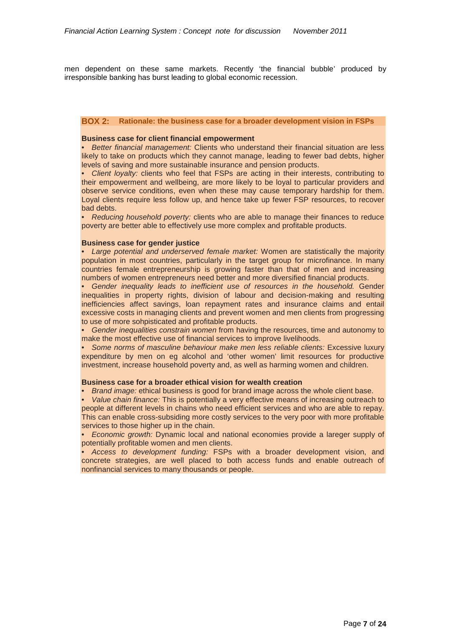men dependent on these same markets. Recently 'the financial bubble' produced by irresponsible banking has burst leading to global economic recession.

# **BOX 2: Rationale: the business case for a broader development vision in FSPs**

# **Business case for client financial empowerment**

• *Better financial management:* Clients who understand their financial situation are less likely to take on products which they cannot manage, leading to fewer bad debts, higher levels of saving and more sustainable insurance and pension products.

• *Client loyalty:* clients who feel that FSPs are acting in their interests, contributing to their empowerment and wellbeing, are more likely to be loyal to particular providers and observe service conditions, even when these may cause temporary hardship for them. Loyal clients require less follow up, and hence take up fewer FSP resources, to recover bad debts.

• *Reducing household poverty:* clients who are able to manage their finances to reduce poverty are better able to effectively use more complex and profitable products.

#### **Business case for gender justice**

• *Large potential and underserved female market:* Women are statistically the majority population in most countries, particularly in the target group for microfinance. In many countries female entrepreneurship is growing faster than that of men and increasing numbers of women entrepreneurs need better and more diversified financial products.

• *Gender inequality leads to inefficient use of resources in the household.* Gender inequalities in property rights, division of labour and decision-making and resulting inefficiencies affect savings, loan repayment rates and insurance claims and entail excessive costs in managing clients and prevent women and men clients from progressing to use of more sohpisticated and profitable products.

• *Gender inequalities constrain women* from having the resources, time and autonomy to make the most effective use of financial services to improve livelihoods.

• *Some norms of masculine behaviour make men less reliable clients:* Excessive luxury expenditure by men on eg alcohol and 'other women' limit resources for productive investment, increase household poverty and, as well as harming women and children.

#### **Business case for a broader ethical vision for wealth creation**

• *Brand image:* ethical business is good for brand image across the whole client base.

• *Value chain finance:* This is potentially a very effective means of increasing outreach to people at different levels in chains who need efficient services and who are able to repay. This can enable cross-subsiding more costly services to the very poor with more profitable services to those higher up in the chain.

• *Economic growth:* Dynamic local and national economies provide a lareger supply of potentially profitable women and men clients.

• *Access to development funding:* FSPs with a broader development vision, and concrete strategies, are well placed to both access funds and enable outreach of nonfinancial services to many thousands or people.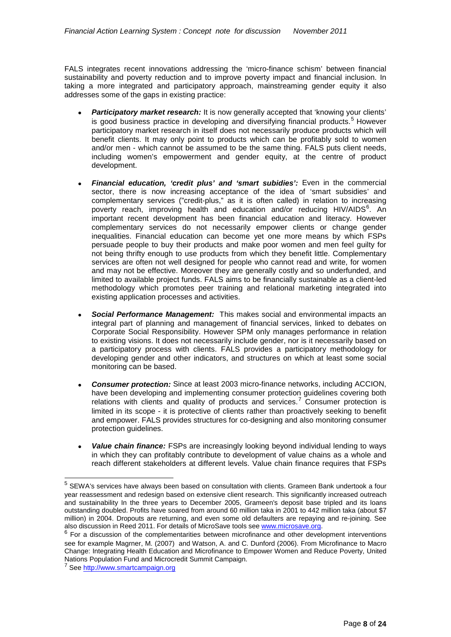FALS integrates recent innovations addressing the 'micro-finance schism' between financial sustainability and poverty reduction and to improve poverty impact and financial inclusion. In taking a more integrated and participatory approach, mainstreaming gender equity it also addresses some of the gaps in existing practice:

- **Participatory market research:** It is now generally accepted that 'knowing your clients' is good business practice in developing and diversifying financial products.<sup>[5](#page-7-0)</sup> However participatory market research in itself does not necessarily produce products which will benefit clients. It may only point to products which can be profitably sold to women and/or men - which cannot be assumed to be the same thing. FALS puts client needs, including women's empowerment and gender equity, at the centre of product development.
- *Financial education, 'credit plus' and 'smart subidies':* Even in the commercial sector, there is now increasing acceptance of the idea of 'smart subsidies' and complementary services ("credit-plus," as it is often called) in relation to increasing poverty reach, improving health and education and/or reducing HIV/AIDS<sup>[6](#page-7-1)</sup>. An important recent development has been financial education and literacy. However complementary services do not necessarily empower clients or change gender inequalities. Financial education can become yet one more means by which FSPs persuade people to buy their products and make poor women and men feel guilty for not being thrifty enough to use products from which they benefit little. Complementary services are often not well designed for people who cannot read and write, for women and may not be effective. Moreover they are generally costly and so underfunded, and limited to available project funds. FALS aims to be financially sustainable as a client-led methodology which promotes peer training and relational marketing integrated into existing application processes and activities.
- *Social Performance Management:* This makes social and environmental impacts an integral part of planning and management of financial services, linked to debates on Corporate Social Responsibility. However SPM only manages performance in relation to existing visions. It does not necessarily include gender, nor is it necessarily based on a participatory process with clients. FALS provides a participatory methodology for developing gender and other indicators, and structures on which at least some social monitoring can be based.
- *Consumer protection:* Since at least 2003 micro-finance networks, including ACCION, have been developing and implementing consumer protection guidelines covering both relations with clients and quality of products and services.<sup>[7](#page-7-2)</sup> Consumer protection is limited in its scope - it is protective of clients rather than proactively seeking to benefit and empower. FALS provides structures for co-designing and also monitoring consumer protection guidelines.
- *Value chain finance:* FSPs are increasingly looking beyond individual lending to ways in which they can profitably contribute to development of value chains as a whole and reach different stakeholders at different levels. Value chain finance requires that FSPs

<span id="page-7-0"></span> <sup>5</sup> SEWA's services have always been based on consultation with clients. Grameen Bank undertook a four year reassessment and redesign based on extensive client research. This significantly increased outreach and sustainability In the three years to December 2005, Grameen's deposit base tripled and its loans outstanding doubled. Profits have soared from around 60 million taka in 2001 to 442 million taka (about \$7 million) in 2004. Dropouts are returning, and even some old defaulters are repaying and re-joining. See also discussion in Reed 2011. For details of MicroSave tools see www.microsave.org.

<span id="page-7-1"></span> $6$  For a discussion of the complementarities between microfinance and other development interventions see for example Magrner, M. (2007) and Watson, A. and C. Dunford (2006). From Microfinance to Macro Change: Integrating Health Education and Microfinance to Empower Women and Reduce Poverty, United Nations Population Fund and Microcredit Summit Campaign.

<span id="page-7-2"></span><sup>&</sup>lt;sup>7</sup> See http://www.smartcampaign.org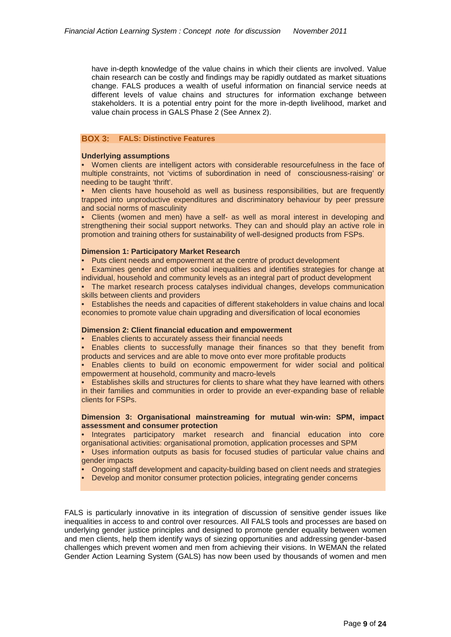have in-depth knowledge of the value chains in which their clients are involved. Value chain research can be costly and findings may be rapidly outdated as market situations change. FALS produces a wealth of useful information on financial service needs at different levels of value chains and structures for information exchange between stakeholders. It is a potential entry point for the more in-depth livelihood, market and value chain process in GALS Phase 2 (See Annex 2).

# **BOX 3: FALS: Distinctive Features**

# **Underlying assumptions**

• Women clients are intelligent actors with considerable resourcefulness in the face of multiple constraints, not 'victims of subordination in need of consciousness-raising' or needing to be taught 'thrift'.

• Men clients have household as well as business responsibilities, but are frequently trapped into unproductive expenditures and discriminatory behaviour by peer pressure and social norms of masculinity

• Clients (women and men) have a self- as well as moral interest in developing and strengthening their social support networks. They can and should play an active role in promotion and training others for sustainability of well-designed products from FSPs.

# **Dimension 1: Participatory Market Research**

• Puts client needs and empowerment at the centre of product development

• Examines gender and other social inequalities and identifies strategies for change at individual, household and community levels as an integral part of product development

• The market research process catalyses individual changes, develops communication skills between clients and providers

• Establishes the needs and capacities of different stakeholders in value chains and local economies to promote value chain upgrading and diversification of local economies

# **Dimension 2: Client financial education and empowerment**

• Enables clients to accurately assess their financial needs

• Enables clients to successfully manage their finances so that they benefit from products and services and are able to move onto ever more profitable products

• Enables clients to build on economic empowerment for wider social and political empowerment at household, community and macro-levels

• Establishes skills and structures for clients to share what they have learned with others in their families and communities in order to provide an ever-expanding base of reliable clients for FSPs.

# **Dimension 3: Organisational mainstreaming for mutual win-win: SPM, impact assessment and consumer protection**

• Integrates participatory market research and financial education into core organisational activities: organisational promotion, application processes and SPM

• Uses information outputs as basis for focused studies of particular value chains and gender impacts

• Ongoing staff development and capacity-building based on client needs and strategies

• Develop and monitor consumer protection policies, integrating gender concerns

FALS is particularly innovative in its integration of discussion of sensitive gender issues like inequalities in access to and control over resources. All FALS tools and processes are based on underlying gender justice principles and designed to promote gender equality between women and men clients, help them identify ways of siezing opportunities and addressing gender-based challenges which prevent women and men from achieving their visions. In WEMAN the related Gender Action Learning System (GALS) has now been used by thousands of women and men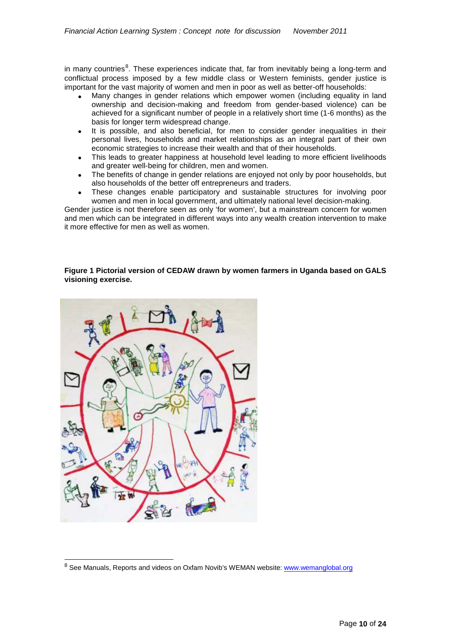in many countries<sup>[8](#page-9-0)</sup>. These experiences indicate that, far from inevitably being a long-term and conflictual process imposed by a few middle class or Western feminists, gender justice is important for the vast majority of women and men in poor as well as better-off households:

- Many changes in gender relations which empower women (including equality in land ownership and decision-making and freedom from gender-based violence) can be achieved for a significant number of people in a relatively short time (1-6 months) as the basis for longer term widespread change.
- It is possible, and also beneficial, for men to consider gender inequalities in their personal lives, households and market relationships as an integral part of their own economic strategies to increase their wealth and that of their households.
- This leads to greater happiness at household level leading to more efficient livelihoods and greater well-being for children, men and women.
- The benefits of change in gender relations are enjoyed not only by poor households, but also households of the better off entrepreneurs and traders.
- These changes enable participatory and sustainable structures for involving poor women and men in local government, and ultimately national level decision-making.

Gender justice is not therefore seen as only 'for women', but a mainstream concern for women and men which can be integrated in different ways into any wealth creation intervention to make it more effective for men as well as women.

# **Figure 1 Pictorial version of CEDAW drawn by women farmers in Uganda based on GALS visioning exercise.**

<span id="page-9-0"></span>

<sup>&</sup>lt;sup>8</sup> See Manuals, Reports and videos on Oxfam Novib's WEMAN website: [www.wemanglobal.org](http://www.wemanglobal.org/)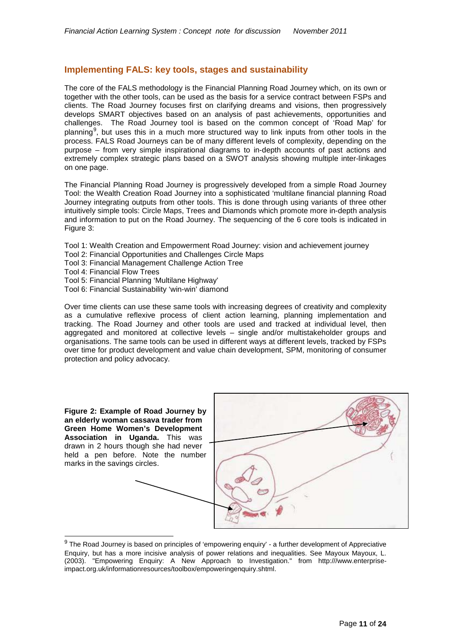# <span id="page-10-0"></span>**Implementing FALS: key tools, stages and sustainability**

The core of the FALS methodology is the Financial Planning Road Journey which, on its own or together with the other tools, can be used as the basis for a service contract between FSPs and clients. The Road Journey focuses first on clarifying dreams and visions, then progressively develops SMART objectives based on an analysis of past achievements, opportunities and challenges. The Road Journey tool is based on the common concept of 'Road Map' for planning<sup>[9](#page-10-1)</sup>, but uses this in a much more structured way to link inputs from other tools in the process. FALS Road Journeys can be of many different levels of complexity, depending on the purpose – from very simple inspirational diagrams to in-depth accounts of past actions and extremely complex strategic plans based on a SWOT analysis showing multiple inter-linkages on one page.

The Financial Planning Road Journey is progressively developed from a simple Road Journey Tool: the Wealth Creation Road Journey into a sophisticated 'multilane financial planning Road Journey integrating outputs from other tools. This is done through using variants of three other intuitively simple tools: Circle Maps, Trees and Diamonds which promote more in-depth analysis and information to put on the Road Journey. The sequencing of the 6 core tools is indicated in Figure 3:

Tool 1: Wealth Creation and Empowerment Road Journey: vision and achievement journey

- Tool 2: Financial Opportunities and Challenges Circle Maps
- Tool 3: Financial Management Challenge Action Tree
- Tool 4: Financial Flow Trees
- Tool 5: Financial Planning 'Multilane Highway'
- Tool 6: Financial Sustainability 'win-win' diamond

Over time clients can use these same tools with increasing degrees of creativity and complexity as a cumulative reflexive process of client action learning, planning implementation and tracking. The Road Journey and other tools are used and tracked at individual level, then aggregated and monitored at collective levels – single and/or multistakeholder groups and organisations. The same tools can be used in different ways at different levels, tracked by FSPs over time for product development and value chain development, SPM, monitoring of consumer protection and policy advocacy.



<span id="page-10-1"></span><sup>&</sup>lt;sup>9</sup> The Road Journey is based on principles of 'empowering enquiry' - a further development of Appreciative Enquiry, but has a more incisive analysis of power relations and inequalities. See Mayoux Mayoux, L. (2003). "Empowering Enquiry: A New Approach to Investigation." from http:///www.enterpriseimpact.org.uk/informationresources/toolbox/empoweringenquiry.shtml.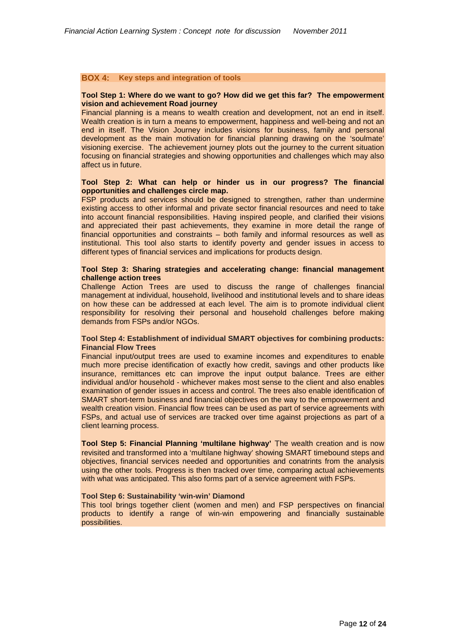# **BOX 4: Key steps and integration of tools**

# **Tool Step 1: Where do we want to go? How did we get this far? The empowerment vision and achievement Road journey**

Financial planning is a means to wealth creation and development, not an end in itself. Wealth creation is in turn a means to empowerment, happiness and well-being and not an end in itself. The Vision Journey includes visions for business, family and personal development as the main motivation for financial planning drawing on the 'soulmate' visioning exercise. The achievement journey plots out the journey to the current situation focusing on financial strategies and showing opportunities and challenges which may also affect us in future.

# **Tool Step 2: What can help or hinder us in our progress? The financial opportunities and challenges circle map.**

FSP products and services should be designed to strengthen, rather than undermine existing access to other informal and private sector financial resources and need to take into account financial responsibilities. Having inspired people, and clarified their visions and appreciated their past achievements, they examine in more detail the range of financial opportunities and constraints – both family and informal resources as well as institutional. This tool also starts to identify poverty and gender issues in access to different types of financial services and implications for products design.

# **Tool Step 3: Sharing strategies and accelerating change: financial management challenge action trees**

Challenge Action Trees are used to discuss the range of challenges financial management at individual, household, livelihood and institutional levels and to share ideas on how these can be addressed at each level. The aim is to promote individual client responsibility for resolving their personal and household challenges before making demands from FSPs and/or NGOs.

# **Tool Step 4: Establishment of individual SMART objectives for combining products: Financial Flow Trees**

Financial input/output trees are used to examine incomes and expenditures to enable much more precise identification of exactly how credit, savings and other products like insurance, remittances etc can improve the input output balance. Trees are either individual and/or household - whichever makes most sense to the client and also enables examination of gender issues in access and control. The trees also enable identification of SMART short-term business and financial objectives on the way to the empowerment and wealth creation vision. Financial flow trees can be used as part of service agreements with FSPs, and actual use of services are tracked over time against projections as part of a client learning process.

**Tool Step 5: Financial Planning 'multilane highway'** The wealth creation and is now revisited and transformed into a 'multilane highway' showing SMART timebound steps and objectives, financial services needed and opportunities and conatrints from the analysis using the other tools. Progress is then tracked over time, comparing actual achievements with what was anticipated. This also forms part of a service agreement with FSPs.

# **Tool Step 6: Sustainability 'win-win' Diamond**

This tool brings together client (women and men) and FSP perspectives on financial products to identify a range of win-win empowering and financially sustainable possibilities.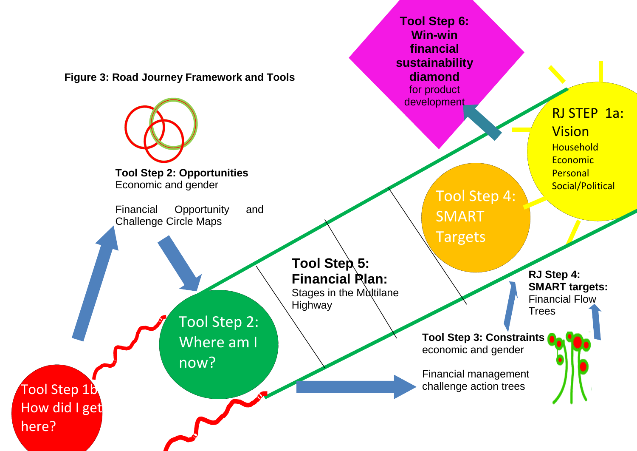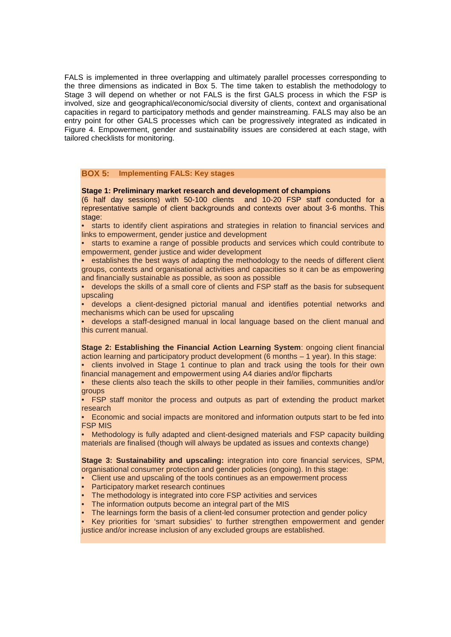FALS is implemented in three overlapping and ultimately parallel processes corresponding to the three dimensions as indicated in Box 5. The time taken to establish the methodology to Stage 3 will depend on whether or not FALS is the first GALS process in which the FSP is involved, size and geographical/economic/social diversity of clients, context and organisational capacities in regard to participatory methods and gender mainstreaming. FALS may also be an entry point for other GALS processes which can be progressively integrated as indicated in Figure 4. Empowerment, gender and sustainability issues are considered at each stage, with tailored checklists for monitoring.

# **BOX 5: Implementing FALS: Key stages**

#### **Stage 1: Preliminary market research and development of champions**

(6 half day sessions) with 50-100 clients and 10-20 FSP staff conducted for a representative sample of client backgrounds and contexts over about 3-6 months. This stage:

• starts to identify client aspirations and strategies in relation to financial services and links to empowerment, gender justice and development

• starts to examine a range of possible products and services which could contribute to empowerment, gender justice and wider development

• establishes the best ways of adapting the methodology to the needs of different client groups, contexts and organisational activities and capacities so it can be as empowering and financially sustainable as possible, as soon as possible

• develops the skills of a small core of clients and FSP staff as the basis for subsequent upscaling

• develops a client-designed pictorial manual and identifies potential networks and mechanisms which can be used for upscaling

• develops a staff-designed manual in local language based on the client manual and this current manual.

**Stage 2: Establishing the Financial Action Learning System**: ongoing client financial action learning and participatory product development (6 months – 1 year). In this stage: • clients involved in Stage 1 continue to plan and track using the tools for their own

financial management and empowerment using A4 diaries and/or flipcharts

• these clients also teach the skills to other people in their families, communities and/or groups

• FSP staff monitor the process and outputs as part of extending the product market research

• Economic and social impacts are monitored and information outputs start to be fed into FSP MIS

• Methodology is fully adapted and client-designed materials and FSP capacity building materials are finalised (though will always be updated as issues and contexts change)

**Stage 3: Sustainability and upscaling:** integration into core financial services, SPM, organisational consumer protection and gender policies (ongoing). In this stage:

- Client use and upscaling of the tools continues as an empowerment process
- Participatory market research continues
- The methodology is integrated into core FSP activities and services
- The information outputs become an integral part of the MIS
- The learnings form the basis of a client-led consumer protection and gender policy

• Key priorities for 'smart subsidies' to further strengthen empowerment and gender justice and/or increase inclusion of any excluded groups are established.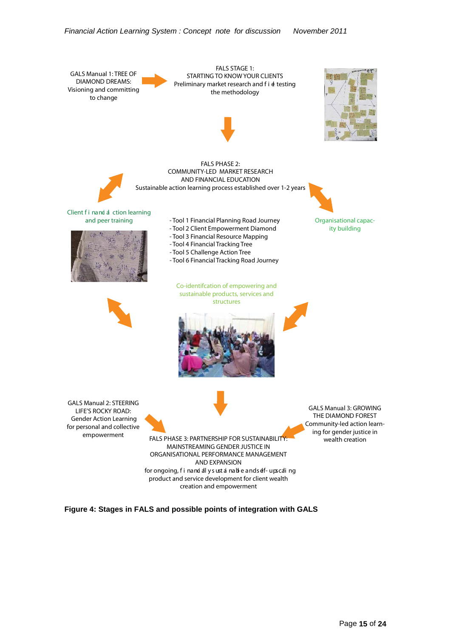

**Figure 4: Stages in FALS and possible points of integration with GALS**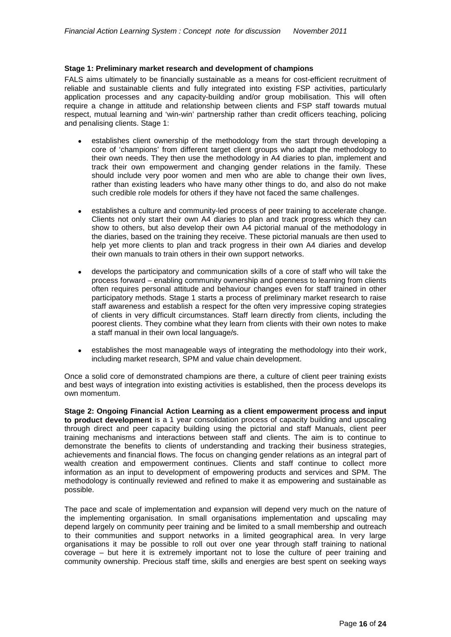# **Stage 1: Preliminary market research and development of champions**

FALS aims ultimately to be financially sustainable as a means for cost-efficient recruitment of reliable and sustainable clients and fully integrated into existing FSP activities, particularly application processes and any capacity-building and/or group mobilisation. This will often require a change in attitude and relationship between clients and FSP staff towards mutual respect, mutual learning and 'win-win' partnership rather than credit officers teaching, policing and penalising clients. Stage 1:

- establishes client ownership of the methodology from the start through developing a core of 'champions' from different target client groups who adapt the methodology to their own needs. They then use the methodology in A4 diaries to plan, implement and track their own empowerment and changing gender relations in the family. These should include very poor women and men who are able to change their own lives, rather than existing leaders who have many other things to do, and also do not make such credible role models for others if they have not faced the same challenges.
- establishes a culture and community-led process of peer training to accelerate change. Clients not only start their own A4 diaries to plan and track progress which they can show to others, but also develop their own A4 pictorial manual of the methodology in the diaries, based on the training they receive. These pictorial manuals are then used to help yet more clients to plan and track progress in their own A4 diaries and develop their own manuals to train others in their own support networks.
- develops the participatory and communication skills of a core of staff who will take the process forward – enabling community ownership and openness to learning from clients often requires personal attitude and behaviour changes even for staff trained in other participatory methods. Stage 1 starts a process of preliminary market research to raise staff awareness and establish a respect for the often very impressive coping strategies of clients in very difficult circumstances. Staff learn directly from clients, including the poorest clients. They combine what they learn from clients with their own notes to make a staff manual in their own local language/s.
- establishes the most manageable ways of integrating the methodology into their work, including market research, SPM and value chain development.

Once a solid core of demonstrated champions are there, a culture of client peer training exists and best ways of integration into existing activities is established, then the process develops its own momentum.

**Stage 2: Ongoing Financial Action Learning as a client empowerment process and input to product development** is a 1 year consolidation process of capacity building and upscaling through direct and peer capacity building using the pictorial and staff Manuals, client peer training mechanisms and interactions between staff and clients. The aim is to continue to demonstrate the benefits to clients of understanding and tracking their business strategies, achievements and financial flows. The focus on changing gender relations as an integral part of wealth creation and empowerment continues. Clients and staff continue to collect more information as an input to development of empowering products and services and SPM. The methodology is continually reviewed and refined to make it as empowering and sustainable as possible.

The pace and scale of implementation and expansion will depend very much on the nature of the implementing organisation. In small organisations implementation and upscaling may depend largely on community peer training and be limited to a small membership and outreach to their communities and support networks in a limited geographical area. In very large organisations it may be possible to roll out over one year through staff training to national coverage – but here it is extremely important not to lose the culture of peer training and community ownership. Precious staff time, skills and energies are best spent on seeking ways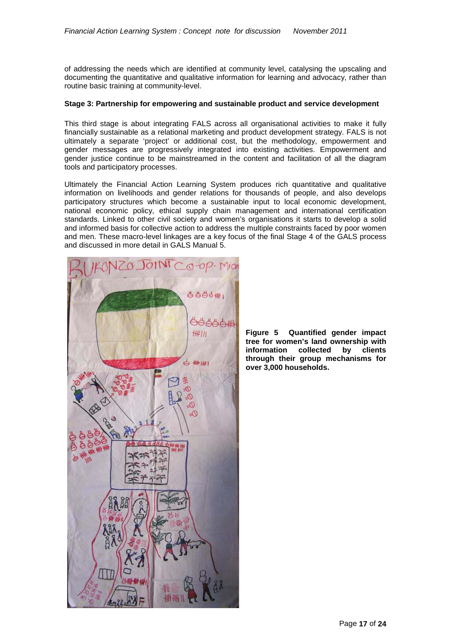of addressing the needs which are identified at community level, catalysing the upscaling and documenting the quantitative and qualitative information for learning and advocacy, rather than routine basic training at community-level.

# **Stage 3: Partnership for empowering and sustainable product and service development**

This third stage is about integrating FALS across all organisational activities to make it fully financially sustainable as a relational marketing and product development strategy. FALS is not ultimately a separate 'project' or additional cost, but the methodology, empowerment and gender messages are progressively integrated into existing activities. Empowerment and gender justice continue to be mainstreamed in the content and facilitation of all the diagram tools and participatory processes.

Ultimately the Financial Action Learning System produces rich quantitative and qualitative information on livelihoods and gender relations for thousands of people, and also develops participatory structures which become a sustainable input to local economic development, national economic policy, ethical supply chain management and international certification standards. Linked to other civil society and women's organisations it starts to develop a solid and informed basis for collective action to address the multiple constraints faced by poor women and men. These macro-level linkages are a key focus of the final Stage 4 of the GALS process and discussed in more detail in GALS Manual 5.



**Figure 5 Quantified gender impact tree for women's land ownership with information collected by clients through their group mechanisms for over 3,000 households.**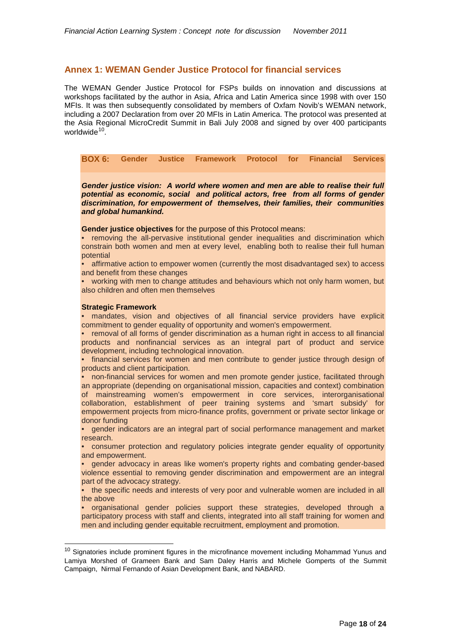# <span id="page-17-0"></span>**Annex 1: WEMAN Gender Justice Protocol for financial services**

The WEMAN Gender Justice Protocol for FSPs builds on innovation and discussions at workshops facilitated by the author in Asia, Africa and Latin America since 1998 with over 150 MFIs. It was then subsequently consolidated by members of Oxfam Novib's WEMAN network, including a 2007 Declaration from over 20 MFIs in Latin America. The protocol was presented at the Asia Regional MicroCredit Summit in Bali July 2008 and signed by over 400 participants worldwide<sup>10</sup>.

**BOX 6: Gender Justice Framework Protocol for Financial Services**

*Gender justice vision: A world where women and men are able to realise their full potential as economic, social and political actors, free from all forms of gender discrimination, for empowerment of themselves, their families, their communities and global humankind.*

**Gender justice objectives** for the purpose of this Protocol means:

• removing the all-pervasive institutional gender inequalities and discrimination which constrain both women and men at every level, enabling both to realise their full human potential

• affirmative action to empower women (currently the most disadvantaged sex) to access and benefit from these changes

• working with men to change attitudes and behaviours which not only harm women, but also children and often men themselves

# **Strategic Framework**

• mandates, vision and objectives of all financial service providers have explicit commitment to gender equality of opportunity and women's empowerment.

• removal of all forms of gender discrimination as a human right in access to all financial products and nonfinancial services as an integral part of product and service development, including technological innovation.

• financial services for women and men contribute to gender justice through design of products and client participation.

• non-financial services for women and men promote gender justice, facilitated through an appropriate (depending on organisational mission, capacities and context) combination of mainstreaming women's empowerment in core services, interorganisational collaboration, establishment of peer training systems and 'smart subsidy' for empowerment projects from micro-finance profits, government or private sector linkage or donor funding

• gender indicators are an integral part of social performance management and market research.

• consumer protection and regulatory policies integrate gender equality of opportunity and empowerment.

• gender advocacy in areas like women's property rights and combating gender-based violence essential to removing gender discrimination and empowerment are an integral part of the advocacy strategy.

• the specific needs and interests of very poor and vulnerable women are included in all the above

• organisational gender policies support these strategies, developed through a participatory process with staff and clients, integrated into all staff training for women and men and including gender equitable recruitment, employment and promotion.

<span id="page-17-1"></span> $10$  Signatories include prominent figures in the microfinance movement including Mohammad Yunus and Lamiya Morshed of Grameen Bank and Sam Daley Harris and Michele Gomperts of the Summit Campaign, Nirmal Fernando of Asian Development Bank, and NABARD.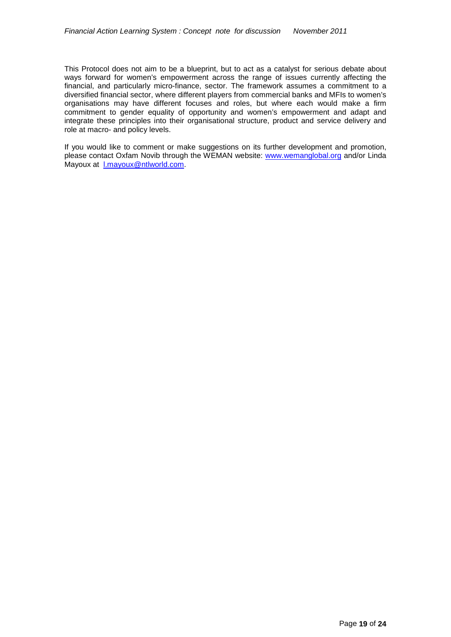This Protocol does not aim to be a blueprint, but to act as a catalyst for serious debate about ways forward for women's empowerment across the range of issues currently affecting the financial, and particularly micro-finance, sector. The framework assumes a commitment to a diversified financial sector, where different players from commercial banks and MFIs to women's organisations may have different focuses and roles, but where each would make a firm commitment to gender equality of opportunity and women's empowerment and adapt and integrate these principles into their organisational structure, product and service delivery and role at macro- and policy levels.

If you would like to comment or make suggestions on its further development and promotion, please contact Oxfam Novib through the WEMAN website: [www.wemanglobal.org](http://www.wemanglobal.org/) and/or Linda Mayoux at [l.mayoux@ntlworld.com.](mailto:l.mayoux@ntlworld.com)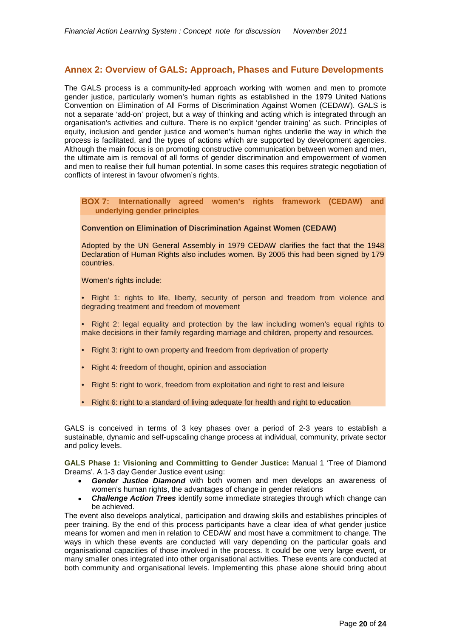# <span id="page-19-0"></span>**Annex 2: Overview of GALS: Approach, Phases and Future Developments**

The GALS process is a community-led approach working with women and men to promote gender justice, particularly women's human rights as established in the 1979 United Nations Convention on Elimination of All Forms of Discrimination Against Women (CEDAW). GALS is not a separate 'add-on' project, but a way of thinking and acting which is integrated through an organisation's activities and culture. There is no explicit 'gender training' as such. Principles of equity, inclusion and gender justice and women's human rights underlie the way in which the process is facilitated, and the types of actions which are supported by development agencies. Although the main focus is on promoting constructive communication between women and men, the ultimate aim is removal of all forms of gender discrimination and empowerment of women and men to realise their full human potential. In some cases this requires strategic negotiation of conflicts of interest in favour ofwomen's rights.

# **BOX 7: Internationally agreed women's rights framework (CEDAW) and underlying gender principles**

# **Convention on Elimination of Discrimination Against Women (CEDAW)**

Adopted by the UN General Assembly in 1979 CEDAW clarifies the fact that the 1948 Declaration of Human Rights also includes women. By 2005 this had been signed by 179 countries.

Women's rights include:

- Right 1: rights to life, liberty, security of person and freedom from violence and degrading treatment and freedom of movement
- Right 2: legal equality and protection by the law including women's equal rights to make decisions in their family regarding marriage and children, property and resources.
- Right 3: right to own property and freedom from deprivation of property
- Right 4: freedom of thought, opinion and association
- Right 5: right to work, freedom from exploitation and right to rest and leisure
- Right 6: right to a standard of living adequate for health and right to education

GALS is conceived in terms of 3 key phases over a period of 2-3 years to establish a sustainable, dynamic and self-upscaling change process at individual, community, private sector and policy levels.

**GALS Phase 1: Visioning and Committing to Gender Justice:** Manual 1 'Tree of Diamond Dreams'. A 1-3 day Gender Justice event using:

- Gender Justice Diamond with both women and men develops an awareness of women's human rights, the advantages of change in gender relations
- **Challenge Action Trees** identify some immediate strategies through which change can be achieved.

The event also develops analytical, participation and drawing skills and establishes principles of peer training. By the end of this process participants have a clear idea of what gender justice means for women and men in relation to CEDAW and most have a commitment to change. The ways in which these events are conducted will vary depending on the particular goals and organisational capacities of those involved in the process. It could be one very large event, or many smaller ones integrated into other organisational activities. These events are conducted at both community and organisational levels. Implementing this phase alone should bring about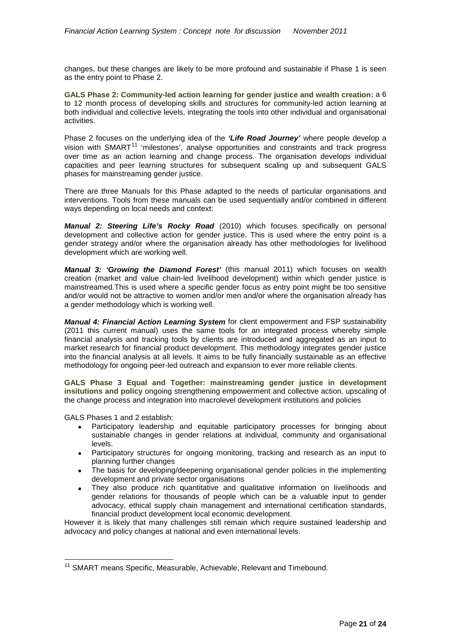changes, but these changes are likely to be more profound and sustainable if Phase 1 is seen as the entry point to Phase 2.

**GALS Phase 2: Community-led action learning for gender justice and wealth creation:** a 6 to 12 month process of developing skills and structures for community-led action learning at both individual and collective levels, integrating the tools into other individual and organisational activities.

Phase 2 focuses on the underlying idea of the *'Life Road Journey'* where people develop a vision with  $SMARKT$ <sup>[11](#page-20-0)</sup> 'milestones', analyse opportunities and constraints and track progress over time as an action learning and change process. The organisation develops individual capacities and peer learning structures for subsequent scaling up and subsequent GALS phases for mainstreaming gender justice.

There are three Manuals for this Phase adapted to the needs of particular organisations and interventions. Tools from these manuals can be used sequentially and/or combined in different ways depending on local needs and context:

*Manual 2: Steering Life's Rocky Road* (2010) which focuses specifically on personal development and collective action for gender justice. This is used where the entry point is a gender strategy and/or where the organisation already has other methodologies for livelihood development which are working well.

*Manual 3: 'Growing the Diamond Forest'* (this manual 2011) which focuses on wealth creation (market and value chain-led livelihood development) within which gender justice is mainstreamed.This is used where a specific gender focus as entry point might be too sensitive and/or would not be attractive to women and/or men and/or where the organisation already has a gender methodology which is working well.

*Manual 4: Financial Action Learning System* for client empowerment and FSP sustainability (2011 this current manual) uses the same tools for an integrated process whereby simple financial analysis and tracking tools by clients are introduced and aggregated as an input to market research for financial product development. This methodology integrates gender justice into the financial analysis at all levels. It aims to be fully financially sustainable as an effective methodology for ongoing peer-led outreach and expansion to ever more reliable clients.

**GALS Phase 3 Equal and Together: mainstreaming gender justice in development insitutions and policy** ongoing strengthening empowerment and collective action, upscaling of the change process and integration into macrolevel development institutions and policies

GALS Phases 1 and 2 establish:

- Participatory leadership and equitable participatory processes for bringing about sustainable changes in gender relations at individual, community and organisational levels.
- Participatory structures for ongoing monitoring, tracking and research as an input to planning further changes
- The basis for developing/deepening organisational gender policies in the implementing development and private sector organisations
- They also produce rich quantitative and qualitative information on livelihoods and gender relations for thousands of people which can be a valuable input to gender advocacy, ethical supply chain management and international certification standards, financial product development local economic development.

However it is likely that many challenges still remain which require sustained leadership and advocacy and policy changes at national and even international levels.

<span id="page-20-0"></span><sup>&</sup>lt;sup>11</sup> SMART means Specific, Measurable, Achievable, Relevant and Timebound.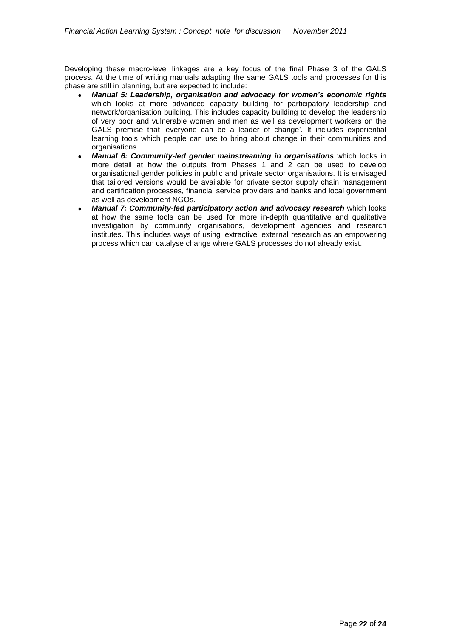Developing these macro-level linkages are a key focus of the final Phase 3 of the GALS process. At the time of writing manuals adapting the same GALS tools and processes for this phase are still in planning, but are expected to include:

- *Manual 5: Leadership, organisation and advocacy for women's economic rights* which looks at more advanced capacity building for participatory leadership and network/organisation building. This includes capacity building to develop the leadership of very poor and vulnerable women and men as well as development workers on the GALS premise that 'everyone can be a leader of change'. It includes experiential learning tools which people can use to bring about change in their communities and organisations.
- *Manual 6: Community-led gender mainstreaming in organisations* which looks in more detail at how the outputs from Phases 1 and 2 can be used to develop organisational gender policies in public and private sector organisations. It is envisaged that tailored versions would be available for private sector supply chain management and certification processes, financial service providers and banks and local government as well as development NGOs.
- *Manual 7: Community-led participatory action and advocacy research* which looks at how the same tools can be used for more in-depth quantitative and qualitative investigation by community organisations, development agencies and research institutes. This includes ways of using 'extractive' external research as an empowering process which can catalyse change where GALS processes do not already exist.